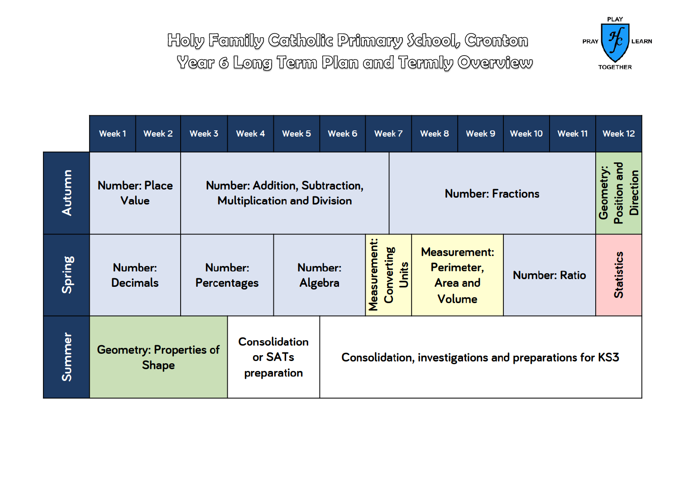

|        | Week 1                                         | Week 2 | Week 3                                                               | Week 4                                                     | Week 5  | Week 6       |                                                        | Week 7                                                  | Week 8 | Week 9               | Week 10   | Week 11                      |                   | Week 12 |
|--------|------------------------------------------------|--------|----------------------------------------------------------------------|------------------------------------------------------------|---------|--------------|--------------------------------------------------------|---------------------------------------------------------|--------|----------------------|-----------|------------------------------|-------------------|---------|
| Autumn | <b>Number: Place</b><br>Value                  |        | Number: Addition, Subtraction,<br><b>Multiplication and Division</b> |                                                            |         |              | <b>Number: Fractions</b>                               |                                                         |        |                      | Geometry: | <b>Direction</b><br>Position |                   |         |
| Spring | Number:<br><b>Decimals</b>                     |        | Number:<br>Algebra<br><b>Percentages</b>                             |                                                            | Number: | Measurement: | Converting<br>Units                                    | <b>Measurement:</b><br>Perimeter,<br>Area and<br>Volume |        | <b>Number: Ratio</b> |           |                              | <b>Statistics</b> |         |
| Summer | <b>Geometry: Properties of</b><br><b>Shape</b> |        |                                                                      | <b>Consolidation</b><br>or SAT <sub>s</sub><br>preparation |         |              | Consolidation, investigations and preparations for KS3 |                                                         |        |                      |           |                              |                   |         |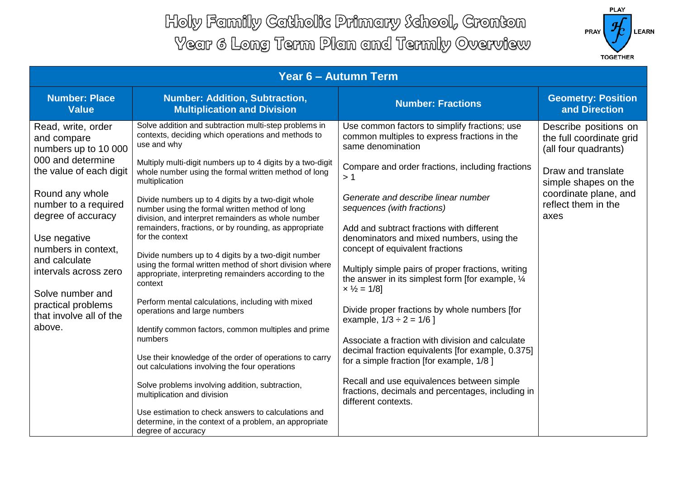

| Year 6 - Autumn Term                                                                                                                                         |                                                                                                                                                            |                                                                                                                                  |                                                                           |  |  |  |
|--------------------------------------------------------------------------------------------------------------------------------------------------------------|------------------------------------------------------------------------------------------------------------------------------------------------------------|----------------------------------------------------------------------------------------------------------------------------------|---------------------------------------------------------------------------|--|--|--|
| <b>Number: Place</b><br><b>Value</b>                                                                                                                         | <b>Number: Addition, Subtraction,</b><br><b>Multiplication and Division</b>                                                                                | <b>Number: Fractions</b>                                                                                                         | <b>Geometry: Position</b><br>and Direction                                |  |  |  |
| Read, write, order<br>and compare<br>numbers up to 10 000                                                                                                    | Solve addition and subtraction multi-step problems in<br>contexts, deciding which operations and methods to<br>use and why                                 | Use common factors to simplify fractions; use<br>common multiples to express fractions in the<br>same denomination               | Describe positions on<br>the full coordinate grid<br>(all four quadrants) |  |  |  |
| 000 and determine<br>the value of each digit                                                                                                                 | Multiply multi-digit numbers up to 4 digits by a two-digit<br>whole number using the formal written method of long<br>multiplication                       | Compare and order fractions, including fractions<br>>1                                                                           | Draw and translate<br>simple shapes on the                                |  |  |  |
| Round any whole<br>number to a required<br>degree of accuracy                                                                                                | Divide numbers up to 4 digits by a two-digit whole<br>number using the formal written method of long<br>division, and interpret remainders as whole number | Generate and describe linear number<br>sequences (with fractions)                                                                | coordinate plane, and<br>reflect them in the<br>axes                      |  |  |  |
| Use negative<br>numbers in context.<br>and calculate<br>intervals across zero<br>Solve number and<br>practical problems<br>that involve all of the<br>above. | remainders, fractions, or by rounding, as appropriate<br>for the context<br>Divide numbers up to 4 digits by a two-digit number                            | Add and subtract fractions with different<br>denominators and mixed numbers, using the<br>concept of equivalent fractions        |                                                                           |  |  |  |
|                                                                                                                                                              | using the formal written method of short division where<br>appropriate, interpreting remainders according to the<br>context                                | Multiply simple pairs of proper fractions, writing<br>the answer in its simplest form [for example, 1/4]<br>$x\frac{1}{2} = 1/8$ |                                                                           |  |  |  |
|                                                                                                                                                              | Perform mental calculations, including with mixed<br>operations and large numbers                                                                          | Divide proper fractions by whole numbers [for<br>example, $1/3 \div 2 = 1/6$ ]                                                   |                                                                           |  |  |  |
|                                                                                                                                                              | Identify common factors, common multiples and prime<br>numbers                                                                                             | Associate a fraction with division and calculate<br>decimal fraction equivalents [for example, 0.375]                            |                                                                           |  |  |  |
|                                                                                                                                                              | Use their knowledge of the order of operations to carry<br>out calculations involving the four operations                                                  | for a simple fraction [for example, 1/8]                                                                                         |                                                                           |  |  |  |
|                                                                                                                                                              | Solve problems involving addition, subtraction,<br>multiplication and division                                                                             | Recall and use equivalences between simple<br>fractions, decimals and percentages, including in<br>different contexts.           |                                                                           |  |  |  |
|                                                                                                                                                              | Use estimation to check answers to calculations and<br>determine, in the context of a problem, an appropriate<br>degree of accuracy                        |                                                                                                                                  |                                                                           |  |  |  |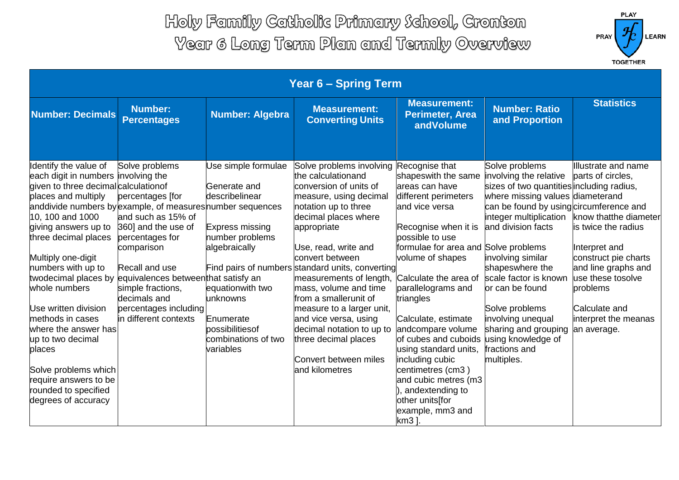

| <b>Year 6 - Spring Term</b>                                                                           |                                                                             |                                                                               |                                                                                                                                  |                                                                                                                                      |                                                                                                       |                                                              |
|-------------------------------------------------------------------------------------------------------|-----------------------------------------------------------------------------|-------------------------------------------------------------------------------|----------------------------------------------------------------------------------------------------------------------------------|--------------------------------------------------------------------------------------------------------------------------------------|-------------------------------------------------------------------------------------------------------|--------------------------------------------------------------|
| <b>Number: Decimals</b>                                                                               | <b>Number:</b><br><b>Percentages</b>                                        | <b>Number: Algebra</b>                                                        | <b>Measurement:</b><br><b>Converting Units</b>                                                                                   | <b>Measurement:</b><br>Perimeter, Area<br>andVolume                                                                                  | <b>Number: Ratio</b><br>and Proportion                                                                | <b>Statistics</b>                                            |
| Identify the value of<br>each digit in numbers involving the<br>given to three decimal calculation of | Solve problems                                                              | Use simple formulae<br>Generate and                                           | Solve problems involving<br>the calculationand<br>conversion of units of                                                         | Recognise that<br>shapeswith the same<br>areas can have                                                                              | Solve problems<br>involving the relative<br>sizes of two quantities including radius,                 | Illustrate and name<br>parts of circles,                     |
| places and multiply<br>anddivide numbers by example, of measures number sequences<br>10, 100 and 1000 | percentages [for<br>and such as 15% of                                      | describelinear                                                                | measure, using decimal<br>notation up to three<br>decimal places where                                                           | different perimeters<br>and vice versa                                                                                               | where missing values diameterand<br>can be found by using circumference and<br>integer multiplication | know thatthe diameter                                        |
| giving answers up to<br>three decimal places<br>Multiply one-digit                                    | 360] and the use of<br>percentages for<br>comparison                        | Express missing<br>number problems<br>algebraically                           | appropriate<br>Use, read, write and<br>convert between                                                                           | Recognise when it is<br>possible to use<br>formulae for area and Solve problems<br>volume of shapes                                  | and division facts<br>involving similar                                                               | is twice the radius<br>Interpret and<br>construct pie charts |
| numbers with up to<br>twodecimal places by<br>whole numbers                                           | Recall and use<br>equivalences between that satisfy an<br>simple fractions, | equationwith two                                                              | Find pairs of numbers standard units, converting<br>measurements of length,<br>mass, volume and time                             | Calculate the area of<br>parallelograms and                                                                                          | shapeswhere the<br>scale factor is known<br>or can be found                                           | and line graphs and<br>use these tosolve<br>problems         |
| Use written division<br>methods in cases<br>where the answer has<br>up to two decimal<br>places       | decimals and<br>percentages including<br>in different contexts              | lunknowns<br>Enumerate<br>possibilitiesof<br>combinations of two<br>variables | from a smallerunit of<br>measure to a larger unit,<br>and vice versa, using<br>decimal notation to up to<br>three decimal places | triangles<br>Calculate, estimate<br>andcompare volume<br>of cubes and cuboids<br>using standard units,                               | Solve problems<br>involving unequal<br>sharing and grouping<br>using knowledge of<br>fractions and    | Calculate and<br>interpret the meanas<br>an average.         |
| Solve problems which<br>require answers to be<br>rounded to specified<br>degrees of accuracy          |                                                                             |                                                                               | Convert between miles<br>and kilometres                                                                                          | including cubic<br>centimetres (cm3)<br>and cubic metres (m3<br>), andextending to<br>other units[for<br>example, mm3 and<br>$km3$ ] | multiples.                                                                                            |                                                              |